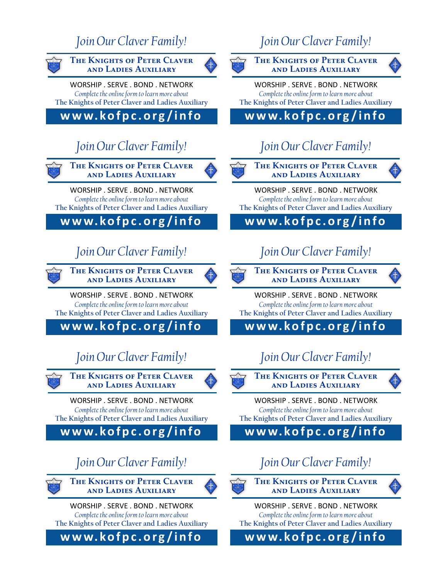#### *Join Our Claver Family!*



**The Knights of Peter Claver and Ladies Auxiliary**

WORSHIP . SERVE . BOND . NETWORK *Complete the online form to learn more about*  **The Knights of Peter Claver and Ladies Auxiliary**

**w w w. ko f p c . o r g / i n f o**

### *Join Our Claver Family!*



WORSHIP . SERVE . BOND . NETWORK *Complete the online form to learn more about*  **The Knights of Peter Claver and Ladies Auxiliary**

**w w w. ko f p c . o r g / i n f o**

### *Join Our Claver Family!*





WORSHIP . SERVE . BOND . NETWORK *Complete the online form to learn more about*  **The Knights of Peter Claver and Ladies Auxiliary**

**w w w. ko f p c . o r g / i n f o**

# *Join Our Claver Family!*



**The Knights of Peter Claver and Ladies Auxiliary**

WORSHIP . SERVE . BOND . NETWORK *Complete the online form to learn more about*  **The Knights of Peter Claver and Ladies Auxiliary**

**w w w. ko f p c . o r g / i n f o**

### *Join Our Claver Family!*



**The Knights of Peter Claver and Ladies Auxiliary**

WORSHIP . SERVE . BOND . NETWORK *Complete the online form to learn more about*  **The Knights of Peter Claver and Ladies Auxiliary**

**w w w. ko f p c . o r g / i n f o**

# *Join Our Claver Family!*





WORSHIP . SERVE . BOND . NETWORK *Complete the online form to learn more about*  **The Knights of Peter Claver and Ladies Auxiliary**

**w w w. ko f p c . o r g / i n f o**

### *Join Our Claver Family!*



**The Knights of Peter Claver and Ladies Auxiliary**

WORSHIP . SERVE . BOND . NETWORK *Complete the online form to learn more about*  **The Knights of Peter Claver and Ladies Auxiliary**

**w w w. ko f p c . o r g / i n f o**

### *Join Our Claver Family!*





WORSHIP . SERVE . BOND . NETWORK *Complete the online form to learn more about*  **The Knights of Peter Claver and Ladies Auxiliary**

**w w w. ko f p c . o r g / i n f o**

# *Join Our Claver Family!*



**The Knights of Peter Claver and Ladies Auxiliary**



WORSHIP . SERVE . BOND . NETWORK *Complete the online form to learn more about*  **The Knights of Peter Claver and Ladies Auxiliary**

**w w w. ko f p c . o r g / i n f o**

#### *Join Our Claver Family!*



**The Knights of Peter Claver and Ladies Auxiliary**

WORSHIP . SERVE . BOND . NETWORK *Complete the online form to learn more about*  **The Knights of Peter Claver and Ladies Auxiliary**

**w w w. ko f p c . o r g / i n f o**